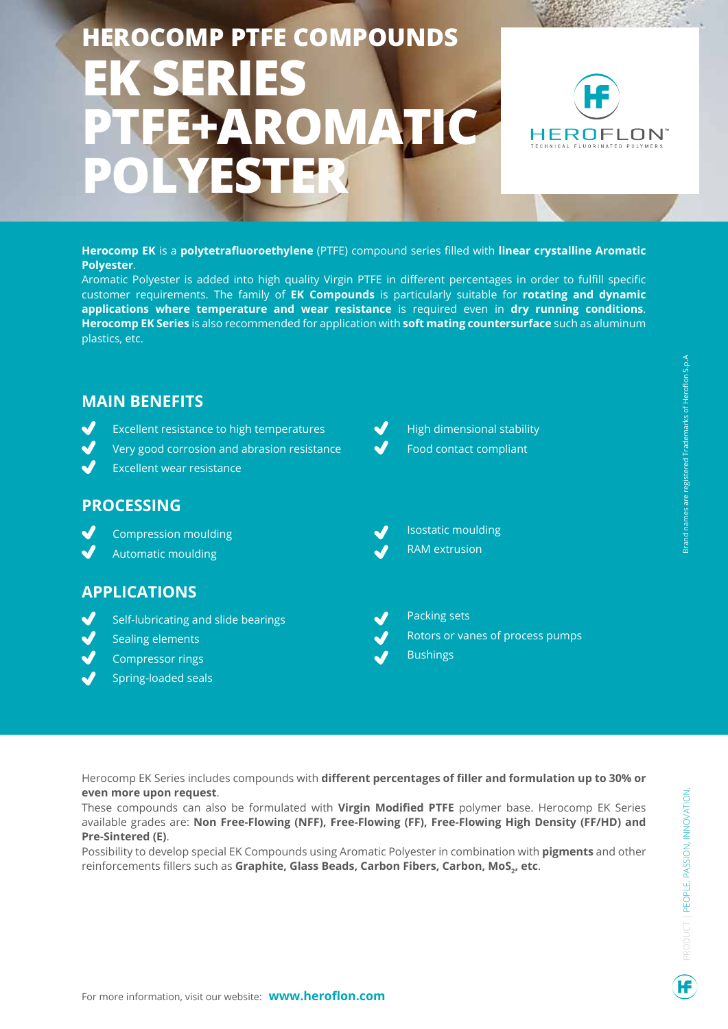# **HEROCOMP PTFE COMPOUNDS EK SERIES F+AROMATIC POLYESTER**



**Herocomp EK** is a **polytetrafluoroethylene** (PTFE) compound series filled with **linear crystalline Aromatic Polyester**.

Aromatic Polyester is added into high quality Virgin PTFE in different percentages in order to fulfill specific customer requirements. The family of **EK Compounds** is particularly suitable for **rotating and dynamic applications where temperature and wear resistance** is required even in **dry running conditions**. **Herocomp EK Series** is also recommended for application with **soft mating countersurface** such as aluminum plastics, etc.

## **MAIN BENEFITS**

- Excellent resistance to high temperatures
- Very good corrosion and abrasion resistance
- Excellent wear resistance

### **PROCESSING**

- Compression moulding
- Automatic moulding

### **APPLICATIONS**

- Self-lubricating and slide bearings
- Sealing elements
- Compressor rings
- Spring-loaded seals
- High dimensional stability Food contact compliant
- Isostatic moulding
	- RAM extrusion
- Packing sets
- Rotors or vanes of process pumps
- **Bushings**

Herocomp EK Series includes compounds with **different percentages of filler and formulation up to 30% or even more upon request**.

These compounds can also be formulated with **Virgin Modified PTFE** polymer base. Herocomp EK Series available grades are: **Non Free-Flowing (NFF), Free-Flowing (FF), Free-Flowing High Density (FF/HD) and Pre-Sintered (E)**.

Possibility to develop special EK Compounds using Aromatic Polyester in combination with **pigments** and other **r**einforcements fillers such as **Graphite, Glass Beads, Carbon Fibers, Carbon, MoS<sub>2</sub>, etc**.